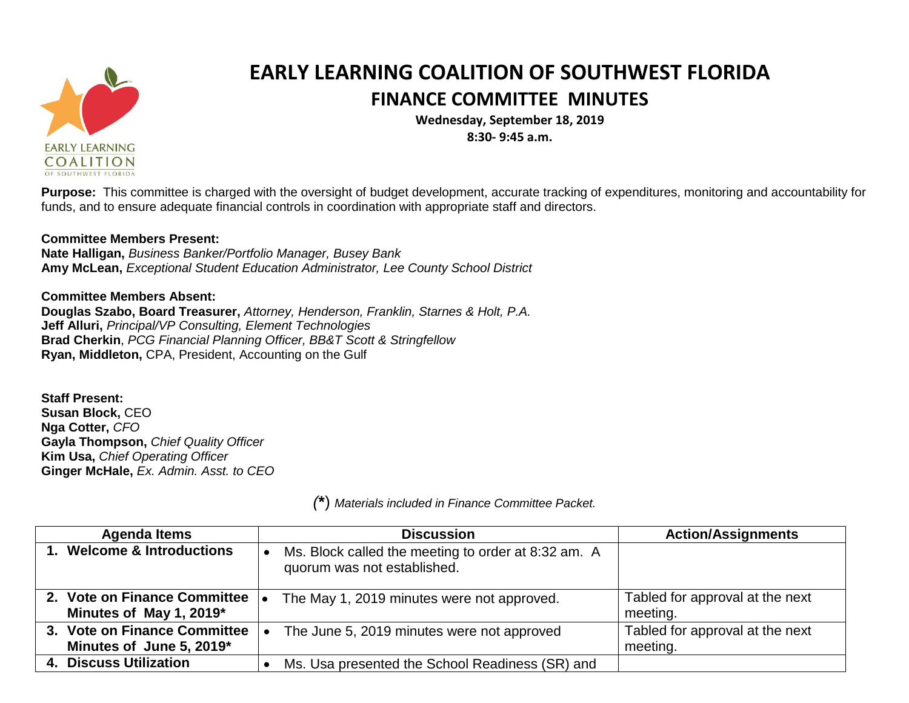

## **EARLY LEARNING COALITION OF SOUTHWEST FLORIDA FINANCE COMMITTEE MINUTES**

**Wednesday, September 18, 2019 8:30- 9:45 a.m.**

**Purpose:** This committee is charged with the oversight of budget development, accurate tracking of expenditures, monitoring and accountability for funds, and to ensure adequate financial controls in coordination with appropriate staff and directors.

## **Committee Members Present:**

**Nate Halligan,** *Business Banker/Portfolio Manager, Busey Bank* **Amy McLean,** *Exceptional Student Education Administrator, Lee County School District*

**Committee Members Absent: Douglas Szabo, Board Treasurer,** *Attorney, Henderson, Franklin, Starnes & Holt, P.A.* **Jeff Alluri,** *Principal/VP Consulting, Element Technologies* **Brad Cherkin**, *PCG Financial Planning Officer, BB&T Scott & Stringfellow* **Ryan, Middleton,** CPA, President, Accounting on the Gulf

**Staff Present: Susan Block,** CEO **Nga Cotter,** *CFO* **Gayla Thompson,** *Chief Quality Officer* **Kim Usa,** *Chief Operating Officer* **Ginger McHale,** *Ex. Admin. Asst. to CEO*

| <b>Agenda Items</b>                                     | <b>Discussion</b>                                                                  | <b>Action/Assignments</b>                   |
|---------------------------------------------------------|------------------------------------------------------------------------------------|---------------------------------------------|
| 1. Welcome & Introductions                              | Ms. Block called the meeting to order at 8:32 am. A<br>quorum was not established. |                                             |
| 2. Vote on Finance Committee<br>Minutes of May 1, 2019* | The May 1, 2019 minutes were not approved.                                         | Tabled for approval at the next<br>meeting. |
| 3. Vote on Finance Committee                            | The June 5, 2019 minutes were not approved                                         | Tabled for approval at the next             |
| Minutes of June 5, 2019*                                |                                                                                    | meeting.                                    |
| 4. Discuss Utilization                                  | Ms. Usa presented the School Readiness (SR) and                                    |                                             |

*(***\***) *Materials included in Finance Committee Packet.*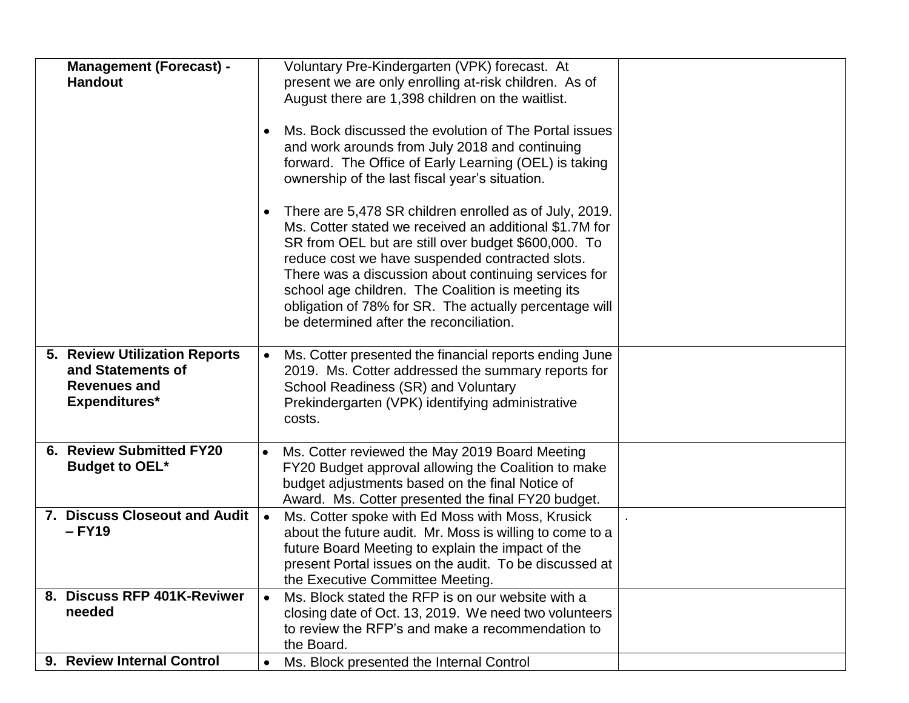| <b>Management (Forecast) -</b><br><b>Handout</b>                                           |           | Voluntary Pre-Kindergarten (VPK) forecast. At<br>present we are only enrolling at-risk children. As of<br>August there are 1,398 children on the waitlist.<br>Ms. Bock discussed the evolution of The Portal issues<br>and work arounds from July 2018 and continuing<br>forward. The Office of Early Learning (OEL) is taking<br>ownership of the last fiscal year's situation.<br>There are 5,478 SR children enrolled as of July, 2019.<br>Ms. Cotter stated we received an additional \$1.7M for<br>SR from OEL but are still over budget \$600,000. To<br>reduce cost we have suspended contracted slots.<br>There was a discussion about continuing services for<br>school age children. The Coalition is meeting its<br>obligation of 78% for SR. The actually percentage will<br>be determined after the reconciliation. |  |
|--------------------------------------------------------------------------------------------|-----------|----------------------------------------------------------------------------------------------------------------------------------------------------------------------------------------------------------------------------------------------------------------------------------------------------------------------------------------------------------------------------------------------------------------------------------------------------------------------------------------------------------------------------------------------------------------------------------------------------------------------------------------------------------------------------------------------------------------------------------------------------------------------------------------------------------------------------------|--|
| 5. Review Utilization Reports<br>and Statements of<br><b>Revenues and</b><br>Expenditures* | $\bullet$ | Ms. Cotter presented the financial reports ending June<br>2019. Ms. Cotter addressed the summary reports for<br>School Readiness (SR) and Voluntary<br>Prekindergarten (VPK) identifying administrative<br>costs.                                                                                                                                                                                                                                                                                                                                                                                                                                                                                                                                                                                                                |  |
| 6. Review Submitted FY20<br><b>Budget to OEL*</b>                                          |           | Ms. Cotter reviewed the May 2019 Board Meeting<br>FY20 Budget approval allowing the Coalition to make<br>budget adjustments based on the final Notice of<br>Award. Ms. Cotter presented the final FY20 budget.                                                                                                                                                                                                                                                                                                                                                                                                                                                                                                                                                                                                                   |  |
| 7. Discuss Closeout and Audit<br>$-$ FY19                                                  | $\bullet$ | Ms. Cotter spoke with Ed Moss with Moss, Krusick<br>about the future audit. Mr. Moss is willing to come to a<br>future Board Meeting to explain the impact of the<br>present Portal issues on the audit. To be discussed at<br>the Executive Committee Meeting.                                                                                                                                                                                                                                                                                                                                                                                                                                                                                                                                                                  |  |
| 8. Discuss RFP 401K-Reviwer<br>needed                                                      |           | Ms. Block stated the RFP is on our website with a<br>closing date of Oct. 13, 2019. We need two volunteers<br>to review the RFP's and make a recommendation to<br>the Board.                                                                                                                                                                                                                                                                                                                                                                                                                                                                                                                                                                                                                                                     |  |
| 9. Review Internal Control                                                                 |           | Ms. Block presented the Internal Control                                                                                                                                                                                                                                                                                                                                                                                                                                                                                                                                                                                                                                                                                                                                                                                         |  |